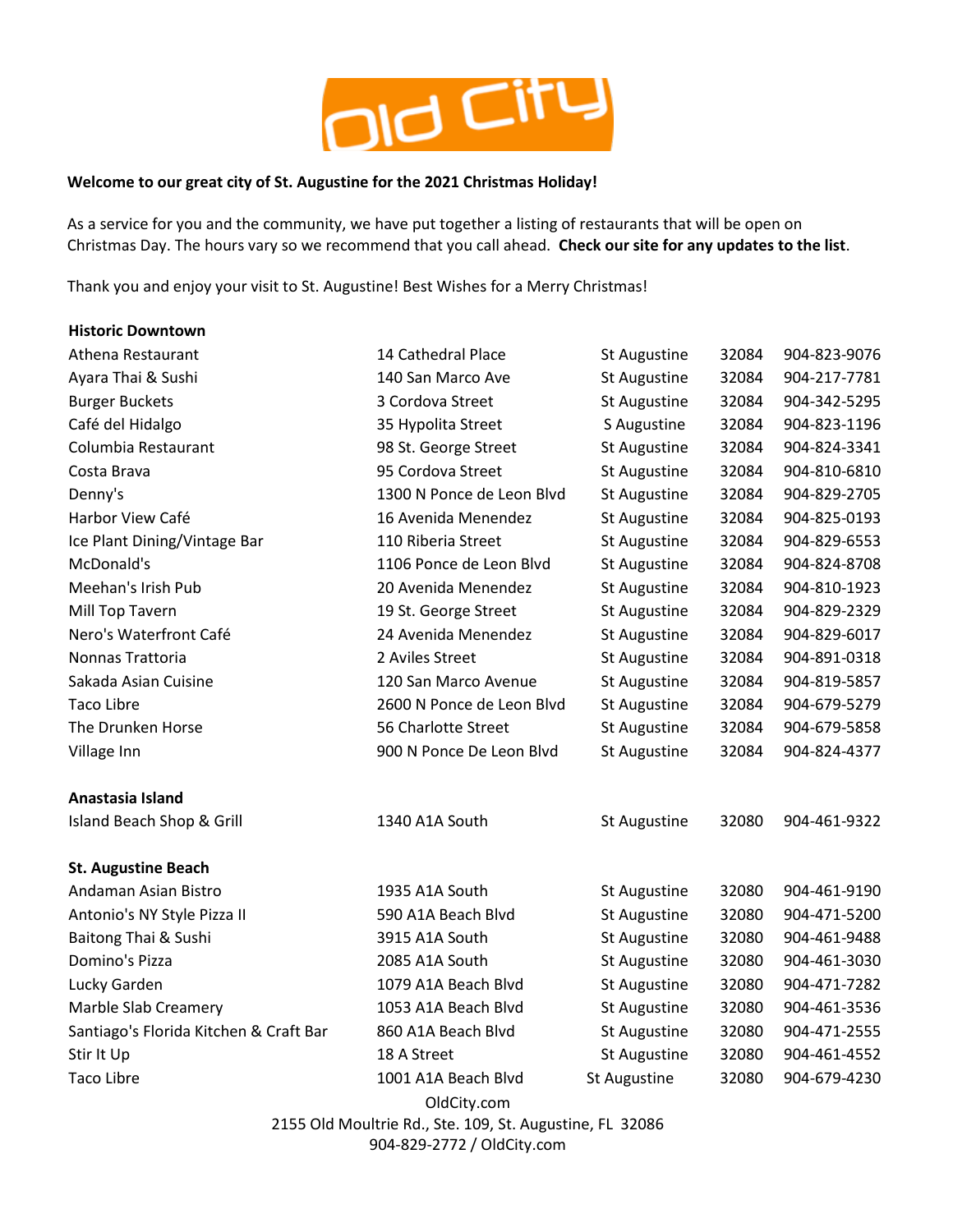

## **Welcome to our great city of St. Augustine for the 2021 Christmas Holiday!**

As a service for you and the community, we have put together a listing of restaurants that will be open on Christmas Day. The hours vary so we recommend that you call ahead. **Check our site for any updates to the list**.

Thank you and enjoy your visit to St. Augustine! Best Wishes for a Merry Christmas!

| <b>Historic Downtown</b>               |                           |                     |       |              |
|----------------------------------------|---------------------------|---------------------|-------|--------------|
| Athena Restaurant                      | 14 Cathedral Place        | <b>St Augustine</b> | 32084 | 904-823-9076 |
| Ayara Thai & Sushi                     | 140 San Marco Ave         | St Augustine        | 32084 | 904-217-7781 |
| <b>Burger Buckets</b>                  | 3 Cordova Street          | St Augustine        | 32084 | 904-342-5295 |
| Café del Hidalgo                       | 35 Hypolita Street        | S Augustine         | 32084 | 904-823-1196 |
| Columbia Restaurant                    | 98 St. George Street      | St Augustine        | 32084 | 904-824-3341 |
| Costa Brava                            | 95 Cordova Street         | St Augustine        | 32084 | 904-810-6810 |
| Denny's                                | 1300 N Ponce de Leon Blvd | <b>St Augustine</b> | 32084 | 904-829-2705 |
| Harbor View Café                       | 16 Avenida Menendez       | St Augustine        | 32084 | 904-825-0193 |
| Ice Plant Dining/Vintage Bar           | 110 Riberia Street        | St Augustine        | 32084 | 904-829-6553 |
| McDonald's                             | 1106 Ponce de Leon Blvd   | St Augustine        | 32084 | 904-824-8708 |
| Meehan's Irish Pub                     | 20 Avenida Menendez       | <b>St Augustine</b> | 32084 | 904-810-1923 |
| Mill Top Tavern                        | 19 St. George Street      | St Augustine        | 32084 | 904-829-2329 |
| Nero's Waterfront Café                 | 24 Avenida Menendez       | St Augustine        | 32084 | 904-829-6017 |
| Nonnas Trattoria                       | 2 Aviles Street           | <b>St Augustine</b> | 32084 | 904-891-0318 |
| Sakada Asian Cuisine                   | 120 San Marco Avenue      | <b>St Augustine</b> | 32084 | 904-819-5857 |
| <b>Taco Libre</b>                      | 2600 N Ponce de Leon Blvd | St Augustine        | 32084 | 904-679-5279 |
| The Drunken Horse                      | 56 Charlotte Street       | St Augustine        | 32084 | 904-679-5858 |
| Village Inn                            | 900 N Ponce De Leon Blvd  | St Augustine        | 32084 | 904-824-4377 |
| Anastasia Island                       |                           |                     |       |              |
| Island Beach Shop & Grill              | 1340 A1A South            | <b>St Augustine</b> | 32080 | 904-461-9322 |
| <b>St. Augustine Beach</b>             |                           |                     |       |              |
| Andaman Asian Bistro                   | 1935 A1A South            | St Augustine        | 32080 | 904-461-9190 |
| Antonio's NY Style Pizza II            | 590 A1A Beach Blvd        | St Augustine        | 32080 | 904-471-5200 |
| Baitong Thai & Sushi                   | 3915 A1A South            | St Augustine        | 32080 | 904-461-9488 |
| Domino's Pizza                         | 2085 A1A South            | St Augustine        | 32080 | 904-461-3030 |
| Lucky Garden                           | 1079 A1A Beach Blvd       | St Augustine        | 32080 | 904-471-7282 |
| Marble Slab Creamery                   | 1053 A1A Beach Blvd       | St Augustine        | 32080 | 904-461-3536 |
| Santiago's Florida Kitchen & Craft Bar | 860 A1A Beach Blvd        | St Augustine        | 32080 | 904-471-2555 |
| Stir It Up                             | 18 A Street               | <b>St Augustine</b> | 32080 | 904-461-4552 |
| <b>Taco Libre</b>                      | 1001 A1A Beach Blvd       | <b>St Augustine</b> | 32080 | 904-679-4230 |
|                                        | OldCity.com               |                     |       |              |

2155 Old Moultrie Rd., Ste. 109, St. Augustine, FL 32086 904-829-2772 / OldCity.com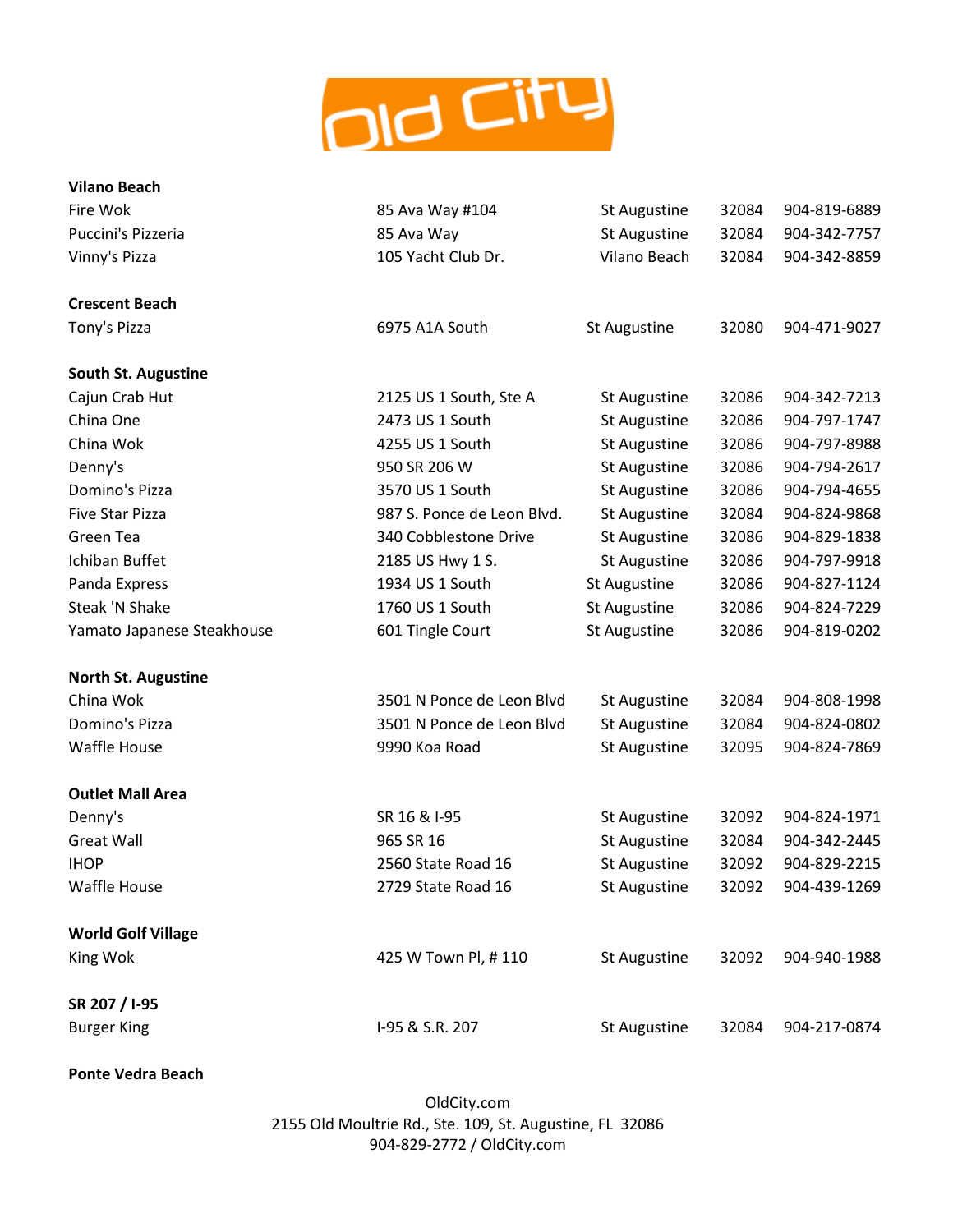

| <b>Vilano Beach</b>        |                            |                     |       |              |
|----------------------------|----------------------------|---------------------|-------|--------------|
| Fire Wok                   | 85 Ava Way #104            | <b>St Augustine</b> | 32084 | 904-819-6889 |
| Puccini's Pizzeria         | 85 Ava Way                 | St Augustine        | 32084 | 904-342-7757 |
| Vinny's Pizza              | 105 Yacht Club Dr.         | Vilano Beach        | 32084 | 904-342-8859 |
| <b>Crescent Beach</b>      |                            |                     |       |              |
| Tony's Pizza               | 6975 A1A South             | St Augustine        | 32080 | 904-471-9027 |
| <b>South St. Augustine</b> |                            |                     |       |              |
| Cajun Crab Hut             | 2125 US 1 South, Ste A     | <b>St Augustine</b> | 32086 | 904-342-7213 |
| China One                  | 2473 US 1 South            | St Augustine        | 32086 | 904-797-1747 |
| China Wok                  | 4255 US 1 South            | St Augustine        | 32086 | 904-797-8988 |
| Denny's                    | 950 SR 206 W               | St Augustine        | 32086 | 904-794-2617 |
| Domino's Pizza             | 3570 US 1 South            | St Augustine        | 32086 | 904-794-4655 |
| <b>Five Star Pizza</b>     | 987 S. Ponce de Leon Blvd. | St Augustine        | 32084 | 904-824-9868 |
| Green Tea                  | 340 Cobblestone Drive      | St Augustine        | 32086 | 904-829-1838 |
| Ichiban Buffet             | 2185 US Hwy 1 S.           | St Augustine        | 32086 | 904-797-9918 |
| Panda Express              | 1934 US 1 South            | St Augustine        | 32086 | 904-827-1124 |
| <b>Steak 'N Shake</b>      | 1760 US 1 South            | St Augustine        | 32086 | 904-824-7229 |
| Yamato Japanese Steakhouse | 601 Tingle Court           | St Augustine        | 32086 | 904-819-0202 |
| <b>North St. Augustine</b> |                            |                     |       |              |
| China Wok                  | 3501 N Ponce de Leon Blvd  | St Augustine        | 32084 | 904-808-1998 |
| Domino's Pizza             | 3501 N Ponce de Leon Blvd  | St Augustine        | 32084 | 904-824-0802 |
| <b>Waffle House</b>        | 9990 Koa Road              | St Augustine        | 32095 | 904-824-7869 |
| <b>Outlet Mall Area</b>    |                            |                     |       |              |
| Denny's                    | SR 16 & I-95               | St Augustine        | 32092 | 904-824-1971 |
| <b>Great Wall</b>          | 965 SR 16                  | St Augustine        | 32084 | 904-342-2445 |
| <b>IHOP</b>                | 2560 State Road 16         | St Augustine        | 32092 | 904-829-2215 |
| <b>Waffle House</b>        | 2729 State Road 16         | St Augustine        | 32092 | 904-439-1269 |
| <b>World Golf Village</b>  |                            |                     |       |              |
| King Wok                   | 425 W Town Pl, #110        | St Augustine        | 32092 | 904-940-1988 |
| SR 207 / I-95              |                            |                     |       |              |
| <b>Burger King</b>         | I-95 & S.R. 207            | St Augustine        | 32084 | 904-217-0874 |

**Ponte Vedra Beach**

OldCity.com 2155 Old Moultrie Rd., Ste. 109, St. Augustine, FL 32086 904-829-2772 / OldCity.com